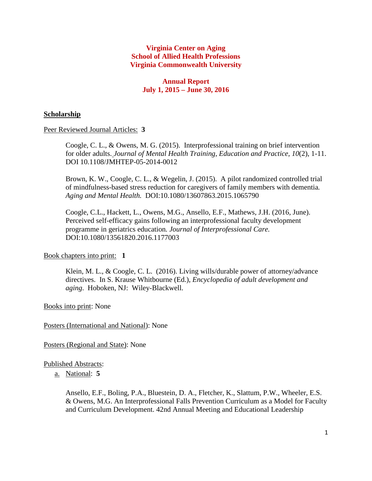## **Virginia Center on Aging School of Allied Health Professions Virginia Commonwealth University**

# **Annual Report July 1, 2015 – June 30, 2016**

## **Scholarship**

Peer Reviewed Journal Articles: **3**

Coogle, C. L., & Owens, M. G. (2015). Interprofessional training on brief intervention for older adults. *Journal of Mental Health Training, Education and Practice, 10*(2), 1-11. DOI 10.1108/JMHTEP-05-2014-0012

Brown, K. W., Coogle, C. L., & Wegelin, J. (2015). A pilot randomized controlled trial of mindfulness-based stress reduction for caregivers of family members with dementia*. Aging and Mental Health.* DOI:10.1080/13607863.2015.1065790

Coogle, C.L., Hackett, L., Owens, M.G., Ansello, E.F., Mathews, J.H. (2016, June). Perceived self-efficacy gains following an interprofessional faculty development programme in geriatrics education*. Journal of Interprofessional Care.*  DOI:10.1080/13561820.2016.1177003

### Book chapters into print: **1**

Klein, M. L., & Coogle, C. L. (2016). Living wills/durable power of attorney/advance directives. In S. Krause Whitbourne (Ed.), *Encyclopedia of adult development and aging*. Hoboken, NJ: Wiley-Blackwell.

# Books into print: None

### Posters (International and National): None

### Posters (Regional and State): None

### Published Abstracts:

a. National: **5**

Ansello, E.F., Boling, P.A., Bluestein, D. A., Fletcher, K., Slattum, P.W., Wheeler, E.S. & Owens, M.G. An Interprofessional Falls Prevention Curriculum as a Model for Faculty and Curriculum Development. 42nd Annual Meeting and Educational Leadership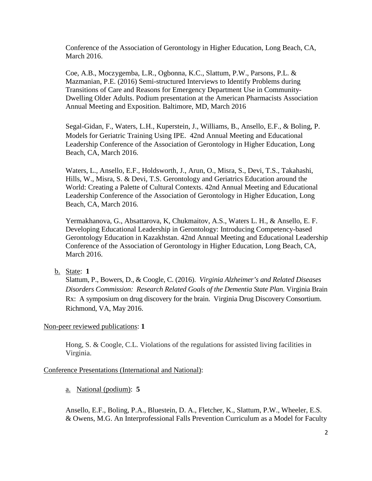Conference of the Association of Gerontology in Higher Education, Long Beach, CA, March 2016.

Coe, A.B., Moczygemba, L.R., Ogbonna, K.C., Slattum, P.W., Parsons, P.L. & Mazmanian, P.E. (2016) Semi-structured Interviews to Identify Problems during Transitions of Care and Reasons for Emergency Department Use in Community-Dwelling Older Adults. Podium presentation at the American Pharmacists Association Annual Meeting and Exposition. Baltimore, MD, March 2016

Segal-Gidan, F., Waters, L.H., Kuperstein, J., Williams, B., Ansello, E.F., & Boling, P. Models for Geriatric Training Using IPE. 42nd Annual Meeting and Educational Leadership Conference of the Association of Gerontology in Higher Education, Long Beach, CA, March 2016.

Waters, L., Ansello, E.F., Holdsworth, J., Arun, O., Misra, S., Devi, T.S., Takahashi, Hills, W., Misra, S. & Devi, T.S. Gerontology and Geriatrics Education around the World: Creating a Palette of Cultural Contexts. 42nd Annual Meeting and Educational Leadership Conference of the Association of Gerontology in Higher Education, Long Beach, CA, March 2016.

Yermakhanova, G., Absattarova, K, Chukmaitov, A.S., Waters L. H., & Ansello, E. F. Developing Educational Leadership in Gerontology: Introducing Competency-based Gerontology Education in Kazakhstan. 42nd Annual Meeting and Educational Leadership Conference of the Association of Gerontology in Higher Education, Long Beach, CA, March 2016.

b. State: **1**

Slattum, P., Bowers, D., & Coogle, C. (2016). *Virginia Alzheimer's and Related Diseases Disorders Commission: Research Related Goals of the Dementia State Plan*. Virginia Brain Rx: A symposium on drug discovery for the brain. Virginia Drug Discovery Consortium. Richmond, VA, May 2016.

Non-peer reviewed publications: **1**

Hong, S. & Coogle, C.L. Violations of the regulations for assisted living facilities in Virginia.

#### Conference Presentations (International and National):

a. National (podium): **5**

Ansello, E.F., Boling, P.A., Bluestein, D. A., Fletcher, K., Slattum, P.W., Wheeler, E.S. & Owens, M.G. An Interprofessional Falls Prevention Curriculum as a Model for Faculty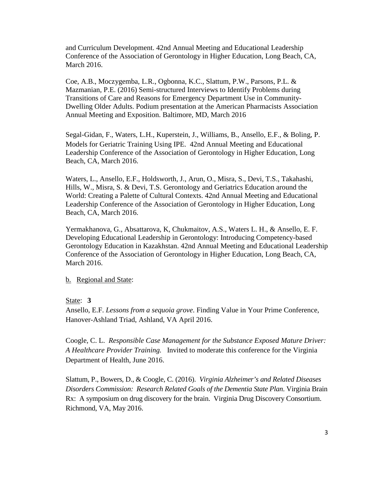and Curriculum Development. 42nd Annual Meeting and Educational Leadership Conference of the Association of Gerontology in Higher Education, Long Beach, CA, March 2016.

Coe, A.B., Moczygemba, L.R., Ogbonna, K.C., Slattum, P.W., Parsons, P.L. & Mazmanian, P.E. (2016) Semi-structured Interviews to Identify Problems during Transitions of Care and Reasons for Emergency Department Use in Community-Dwelling Older Adults. Podium presentation at the American Pharmacists Association Annual Meeting and Exposition. Baltimore, MD, March 2016

Segal-Gidan, F., Waters, L.H., Kuperstein, J., Williams, B., Ansello, E.F., & Boling, P. Models for Geriatric Training Using IPE. 42nd Annual Meeting and Educational Leadership Conference of the Association of Gerontology in Higher Education, Long Beach, CA, March 2016.

Waters, L., Ansello, E.F., Holdsworth, J., Arun, O., Misra, S., Devi, T.S., Takahashi, Hills, W., Misra, S. & Devi, T.S. Gerontology and Geriatrics Education around the World: Creating a Palette of Cultural Contexts. 42nd Annual Meeting and Educational Leadership Conference of the Association of Gerontology in Higher Education, Long Beach, CA, March 2016.

Yermakhanova, G., Absattarova, K, Chukmaitov, A.S., Waters L. H., & Ansello, E. F. Developing Educational Leadership in Gerontology: Introducing Competency-based Gerontology Education in Kazakhstan. 42nd Annual Meeting and Educational Leadership Conference of the Association of Gerontology in Higher Education, Long Beach, CA, March 2016.

### b. Regional and State:

State: **3**

Ansello, E.F. *Lessons from a sequoia grove*. Finding Value in Your Prime Conference, Hanover-Ashland Triad, Ashland, VA April 2016.

Coogle, C. L. *Responsible Case Management for the Substance Exposed Mature Driver: A Healthcare Provider Training.* Invited to moderate this conference for the Virginia Department of Health, June 2016.

Slattum, P., Bowers, D., & Coogle, C. (2016). *Virginia Alzheimer's and Related Diseases Disorders Commission: Research Related Goals of the Dementia State Plan*. Virginia Brain Rx: A symposium on drug discovery for the brain. Virginia Drug Discovery Consortium. Richmond, VA, May 2016.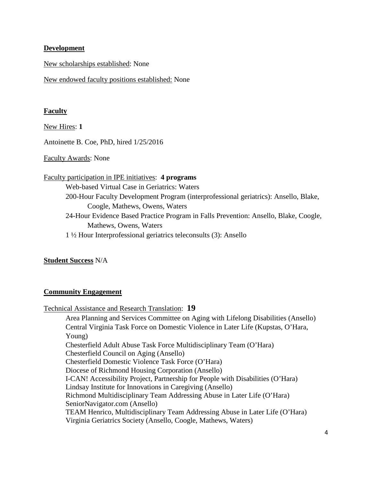### **Development**

New scholarships established: None

New endowed faculty positions established: None

#### **Faculty**

New Hires: **1**

Antoinette B. Coe, PhD, hired 1/25/2016

Faculty Awards: None

Faculty participation in IPE initiatives: **4 programs** Web-based Virtual Case in Geriatrics: Waters 200-Hour Faculty Development Program (interprofessional geriatrics): Ansello, Blake, Coogle, Mathews, Owens, Waters 24-Hour Evidence Based Practice Program in Falls Prevention: Ansello, Blake, Coogle, Mathews, Owens, Waters 1 ½ Hour Interprofessional geriatrics teleconsults (3): Ansello

**Student Success** N/A

### **Community Engagement**

Technical Assistance and Research Translation: **19**

Area Planning and Services Committee on Aging with Lifelong Disabilities (Ansello) Central Virginia Task Force on Domestic Violence in Later Life (Kupstas, O'Hara, Young) Chesterfield Adult Abuse Task Force Multidisciplinary Team (O'Hara) Chesterfield Council on Aging (Ansello) Chesterfield Domestic Violence Task Force (O'Hara) Diocese of Richmond Housing Corporation (Ansello) I-CAN! Accessibility Project, Partnership for People with Disabilities (O'Hara) Lindsay Institute for Innovations in Caregiving (Ansello) Richmond Multidisciplinary Team Addressing Abuse in Later Life (O'Hara) SeniorNavigator.com (Ansello) TEAM Henrico, Multidisciplinary Team Addressing Abuse in Later Life (O'Hara) Virginia Geriatrics Society (Ansello, Coogle, Mathews, Waters)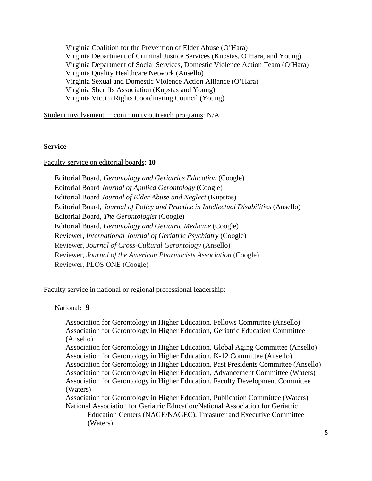Virginia Coalition for the Prevention of Elder Abuse (O'Hara) Virginia Department of Criminal Justice Services (Kupstas, O'Hara, and Young) Virginia Department of Social Services, Domestic Violence Action Team (O'Hara) Virginia Quality Healthcare Network (Ansello) Virginia Sexual and Domestic Violence Action Alliance (O'Hara) Virginia Sheriffs Association (Kupstas and Young) Virginia Victim Rights Coordinating Council (Young)

Student involvement in community outreach programs: N/A

### **Service**

#### Faculty service on editorial boards: **10**

Editorial Board*, Gerontology and Geriatrics Education* (Coogle) Editorial Board *Journal of Applied Gerontology* (Coogle) Editorial Board *Journal of Elder Abuse and Neglect* (Kupstas) Editorial Board, *Journal of Policy and Practice in Intellectual Disabilities* (Ansello) Editorial Board, *The Gerontologist* (Coogle) Editorial Board, *Gerontology and Geriatric Medicine* (Coogle) Reviewer, *International Journal of Geriatric Psychiatry* (Coogle) Reviewer, *Journal of Cross-Cultural Gerontology* (Ansello) Reviewer, *Journal of the American Pharmacists Association* (Coogle) Reviewer, PLOS ONE (Coogle)

#### Faculty service in national or regional professional leadership:

#### National: **9**

Association for Gerontology in Higher Education, Fellows Committee (Ansello) Association for Gerontology in Higher Education, Geriatric Education Committee (Ansello)

Association for Gerontology in Higher Education, Global Aging Committee (Ansello) Association for Gerontology in Higher Education, K-12 Committee (Ansello) Association for Gerontology in Higher Education, Past Presidents Committee (Ansello) Association for Gerontology in Higher Education, Advancement Committee (Waters) Association for Gerontology in Higher Education, Faculty Development Committee (Waters)

Association for Gerontology in Higher Education, Publication Committee (Waters) National Association for Geriatric Education/National Association for Geriatric

Education Centers (NAGE/NAGEC), Treasurer and Executive Committee (Waters)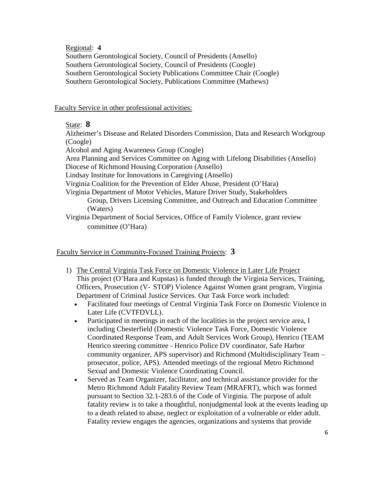## Regional: **4**

Southern Gerontological Society, Council of Presidents (Ansello) Southern Gerontological Society, Council of Presidents (Coogle) Southern Gerontological Society Publications Committee Chair (Coogle) Southern Gerontological Society, Publications Committee (Mathews)

Faculty Service in other professional activities:

# State: **8**

Alzheimer's Disease and Related Disorders Commission, Data and Research Workgroup (Coogle)

Alcohol and Aging Awareness Group (Coogle)

Area Planning and Services Committee on Aging with Lifelong Disabilities (Ansello) Diocese of Richmond Housing Corporation (Ansello)

Lindsay Institute for Innovations in Caregiving (Ansello)

Virginia Coalition for the Prevention of Elder Abuse, President (O'Hara)

Virginia Department of Motor Vehicles, Mature Driver Study, Stakeholders

Group, Drivers Licensing Committee, and Outreach and Education Committee (Waters)

Virginia Department of Social Services, Office of Family Violence, grant review committee (O'Hara)

Faculty Service in Community-Focused Training Projects: **3**

- 1) The Central Virginia Task Force on Domestic Violence in Later Life Project This project (O'Hara and Kupstas) is funded through the Virginia Services, Training, Officers, Prosecution (V- STOP) Violence Against Women grant program, Virginia Department of Criminal Justice Services. Our Task Force work included:
	- Facilitated four meetings of Central Virginia Task Force on Domestic Violence in Later Life (CVTFDVLL).
	- Participated in meetings in each of the localities in the project service area, I including Chesterfield (Domestic Violence Task Force, Domestic Violence Coordinated Response Team, and Adult Services Work Group), Henrico (TEAM Henrico steering committee - Henrico Police DV coordinator, Safe Harbor community organizer, APS supervisor) and Richmond (Multidisciplinary Team – prosecutor, police, APS). Attended meetings of the regional Metro Richmond Sexual and Domestic Violence Coordinating Council.
	- Served as Team Organizer, facilitator, and technical assistance provider for the Metro Richmond Adult Fatality Review Team (MRAFRT), which was formed pursuant to Section 32.1-283.6 of the Code of Virginia. The purpose of adult fatality review is to take a thoughtful, nonjudgmental look at the events leading up to a death related to abuse, neglect or exploitation of a vulnerable or elder adult. Fatality review engages the agencies, organizations and systems that provide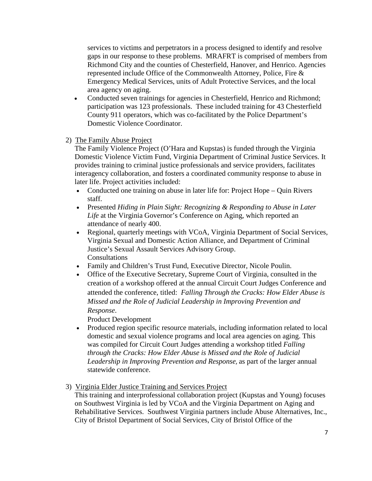services to victims and perpetrators in a process designed to identify and resolve gaps in our response to these problems. MRAFRT is comprised of members from Richmond City and the counties of Chesterfield, Hanover, and Henrico. Agencies represented include Office of the Commonwealth Attorney, Police, Fire & Emergency Medical Services, units of Adult Protective Services, and the local area agency on aging.

- Conducted seven trainings for agencies in Chesterfield, Henrico and Richmond; participation was 123 professionals. These included training for 43 Chesterfield County 911 operators, which was co-facilitated by the Police Department's Domestic Violence Coordinator.
- 2) The Family Abuse Project

 The Family Violence Project (O'Hara and Kupstas) is funded through the Virginia Domestic Violence Victim Fund, Virginia Department of Criminal Justice Services. It provides training to criminal justice professionals and service providers, facilitates interagency collaboration, and fosters a coordinated community response to abuse in later life. Project activities included:

- Conducted one training on abuse in later life for: Project Hope Quin Rivers staff.
- Presented *Hiding in Plain Sight: Recognizing & Responding to Abuse in Later Life* at the Virginia Governor's Conference on Aging, which reported an attendance of nearly 400.
- Regional, quarterly meetings with VCoA, Virginia Department of Social Services, Virginia Sexual and Domestic Action Alliance, and Department of Criminal Justice's Sexual Assault Services Advisory Group. **Consultations**
- Family and Children's Trust Fund, Executive Director, Nicole Poulin.
- Office of the Executive Secretary, Supreme Court of Virginia, consulted in the creation of a workshop offered at the annual Circuit Court Judges Conference and attended the conference, titled: *Falling Through the Cracks: How Elder Abuse is Missed and the Role of Judicial Leadership in Improving Prevention and Response*.

Product Development

- Produced region specific resource materials, including information related to local domestic and sexual violence programs and local area agencies on aging. This was compiled for Circuit Court Judges attending a workshop titled *Falling through the Cracks: How Elder Abuse is Missed and the Role of Judicial Leadership in Improving Prevention and Response*, as part of the larger annual statewide conference.
- 3) Virginia Elder Justice Training and Services Project

 This training and interprofessional collaboration project (Kupstas and Young) focuses on Southwest Virginia is led by VCoA and the Virginia Department on Aging and Rehabilitative Services. Southwest Virginia partners include Abuse Alternatives, Inc., City of Bristol Department of Social Services, City of Bristol Office of the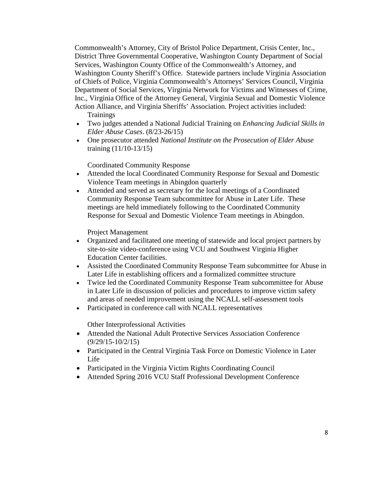Commonwealth's Attorney, City of Bristol Police Department, Crisis Center, Inc., District Three Governmental Cooperative, Washington County Department of Social Services, Washington County Office of the Commonwealth's Attorney, and Washington County Sheriff's Office. Statewide partners include Virginia Association of Chiefs of Police, Virginia Commonwealth's Attorneys' Services Council, Virginia Department of Social Services, Virginia Network for Victims and Witnesses of Crime, Inc., Virginia Office of the Attorney General, Virginia Sexual and Domestic Violence Action Alliance, and Virginia Sheriffs' Association. Project activities included:

**Trainings** 

- Two judges attended a National Judicial Training on *Enhancing Judicial Skills in Elder Abuse Cases*. (8/23-26/15)
- One prosecutor attended *National Institute on the Prosecution of Elder Abuse* training (11/10-13/15)

Coordinated Community Response

- Attended the local Coordinated Community Response for Sexual and Domestic Violence Team meetings in Abingdon quarterly
- Attended and served as secretary for the local meetings of a Coordinated Community Response Team subcommittee for Abuse in Later Life. These meetings are held immediately following to the Coordinated Community Response for Sexual and Domestic Violence Team meetings in Abingdon.

Project Management

- Organized and facilitated one meeting of statewide and local project partners by site-to-site video-conference using VCU and Southwest Virginia Higher Education Center facilities.
- Assisted the Coordinated Community Response Team subcommittee for Abuse in Later Life in establishing officers and a formalized committee structure
- Twice led the Coordinated Community Response Team subcommittee for Abuse in Later Life in discussion of policies and procedures to improve victim safety and areas of needed improvement using the NCALL self-assessment tools
- Participated in conference call with NCALL representatives

Other Interprofessional Activities

- Attended the National Adult Protective Services Association Conference (9/29/15-10/2/15)
- Participated in the Central Virginia Task Force on Domestic Violence in Later Life
- Participated in the Virginia Victim Rights Coordinating Council
- Attended Spring 2016 VCU Staff Professional Development Conference